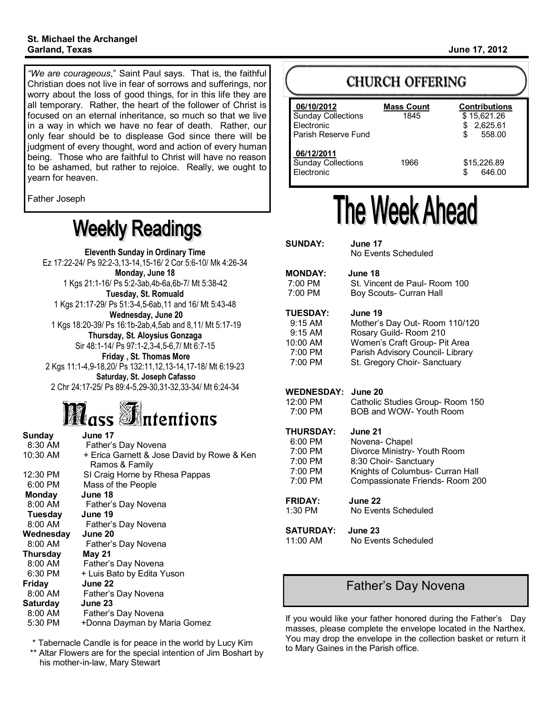*"We are courageous*," Saint Paul says. That is, the faithful Christian does not live in fear of sorrows and sufferings, nor worry about the loss of good things, for in this life they are all temporary. Rather, the heart of the follower of Christ is focused on an eternal inheritance, so much so that we live in a way in which we have no fear of death. Rather, our only fear should be to displease God since there will be judgment of every thought, word and action of every human being. Those who are faithful to Christ will have no reason to be ashamed, but rather to rejoice. Really, we ought to yearn for heaven.

Father Joseph

# **Weekly Readings**

**Eleventh Sunday in Ordinary Time** Ez 17:22-24/ Ps 92:2-3,13-14,15-16/ 2 Cor 5:6-10/ Mk 4:26-34 **Monday, June 18** 1 Kgs 21:1-16/ Ps 5:2-3ab,4b-6a,6b-7/ Mt 5:38-42 **Tuesday, St. Romuald** 1 Kgs 21:17-29/ Ps 51:3-4,5-6ab,11 and 16/ Mt 5:43-48 **Wednesday, June 20** 1 Kgs 18:20-39/ Ps 16:1b-2ab,4,5ab and 8,11/ Mt 5:17-19 **Thursday, St. Aloysius Gonzaga** Sir 48:1-14/ Ps 97:1-2,3-4,5-6,7/ Mt 6:7-15 **Friday , St. Thomas More** 2 Kgs 11:1-4,9-18,20/ Ps 132:11,12,13-14,17-18/ Mt 6:19-23 **Saturday, St. Joseph Cafasso** 2 Chr 24:17-25/ Ps 89:4-5,29-30,31-32,33-34/ Mt 6:24-34

# **Mass** Antentions

| Sunday          | June 17                                                      |
|-----------------|--------------------------------------------------------------|
| 8:30 AM         | Father's Day Novena                                          |
| 10:30 AM        | + Erica Garnett & Jose David by Rowe & Ken<br>Ramos & Family |
| 12:30 PM        | SI Craig Horne by Rhesa Pappas                               |
| 6:00 PM         | Mass of the People                                           |
| Monday          | June 18                                                      |
| 8:00 AM         | Father's Day Novena                                          |
| Tuesday         | June 19                                                      |
| 8:00 AM         | Father's Day Novena                                          |
| Wednesday       | June 20                                                      |
| 8:00 AM         | Father's Day Novena                                          |
| Thursday        | <b>May 21</b>                                                |
| 8:00 AM         | Father's Day Novena                                          |
| 6:30 PM         | + Luis Bato by Edita Yuson                                   |
| <b>Friday</b>   | June 22                                                      |
| 8:00 AM         | Father's Day Novena                                          |
| <b>Saturday</b> | June 23                                                      |
| 8:00 AM         |                                                              |
|                 | Father's Day Novena                                          |

 \* Tabernacle Candle is for peace in the world by Lucy Kim \*\* Altar Flowers are for the special intention of Jim Boshart by his mother-in-law, Mary Stewart

## **CHURCH OFFERING**

| 06/10/2012<br>Sunday Collections<br>Electronic<br>Parish Reserve Fund | <b>Mass Count</b><br>1845 | <b>Contributions</b><br>\$15,621.26<br>\$2,625.61<br>558.00<br>S |
|-----------------------------------------------------------------------|---------------------------|------------------------------------------------------------------|
| 06/12/2011<br><b>Sunday Collections</b><br>Electronic                 | 1966                      | \$15,226.89<br>646.00<br>\$                                      |

# The Week Ahead

| <b>SUNDAY:</b>                                                              | June 17<br>No Events Scheduled                                                                                                                                         |
|-----------------------------------------------------------------------------|------------------------------------------------------------------------------------------------------------------------------------------------------------------------|
| <b>MONDAY:</b><br>$7:00 \text{ PM}$<br>7:00 PM                              | June 18<br>St. Vincent de Paul- Room 100<br>Boy Scouts- Curran Hall                                                                                                    |
| <b>TUESDAY:</b><br>$9:15$ AM<br>$9:15$ AM<br>10:00 AM<br>7:00 PM<br>7:00 PM | June 19<br>Mother's Day Out- Room 110/120<br>Rosary Guild-Room 210<br>Women's Craft Group- Pit Area<br>Parish Advisory Council- Library<br>St. Gregory Choir-Sanctuary |
| <b>WEDNESDAY:</b><br>12:00 PM<br>7:00 PM                                    | June 20<br>Catholic Studies Group-Room 150<br>BOB and WOW- Youth Room                                                                                                  |
| <b>THURSDAY:</b><br>6:00 PM<br>7:00 PM<br>7:00 PM<br>7:00 PM<br>7:00 PM     | June 21<br>Novena- Chapel<br>Divorce Ministry- Youth Room<br>8:30 Choir- Sanctuary<br>Knights of Columbus- Curran Hall<br>Compassionate Friends-Room 200               |
| <b>FRIDAY:</b><br>1:30 PM                                                   | June 22<br>No Events Scheduled                                                                                                                                         |
| <b>SATURDAY:</b><br>11:00 AM                                                | June 23<br>No Fvents Scheduled                                                                                                                                         |
|                                                                             |                                                                                                                                                                        |

## Father's Day Novena

If you would like your father honored during the Father's Day masses, please complete the envelope located in the Narthex. You may drop the envelope in the collection basket or return it to Mary Gaines in the Parish office.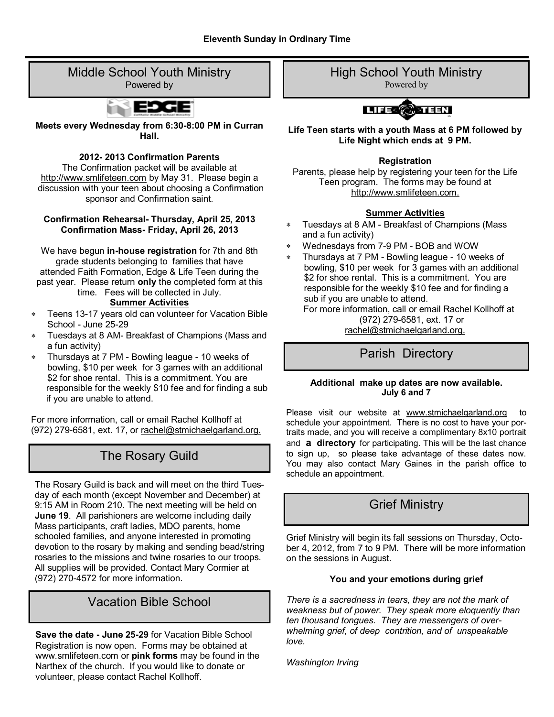#### Middle School Youth Ministry Powered by



**Meets every Wednesday from 6:30-8:00 PM in Curran Hall.**

#### **2012- 2013 Confirmation Parents**

The Confirmation packet will be available at http://www.smlifeteen.com by May 31. Please begin a discussion with your teen about choosing a Confirmation sponsor and Confirmation saint.

#### **Confirmation Rehearsal- Thursday, April 25, 2013 Confirmation Mass- Friday, April 26, 2013**

We have begun **in-house registration** for 7th and 8th grade students belonging to families that have attended Faith Formation, Edge & Life Teen during the past year. Please return **only** the completed form at this time. Fees will be collected in July.

#### **Summer Activities**

- Teens 13-17 years old can volunteer for Vacation Bible School - June 25-29
- Tuesdays at 8 AM- Breakfast of Champions (Mass and a fun activity)
- $\star$ Thursdays at 7 PM - Bowling league - 10 weeks of bowling, \$10 per week for 3 games with an additional \$2 for shoe rental. This is a commitment. You are responsible for the weekly \$10 fee and for finding a sub if you are unable to attend.

For more information, call or email Rachel Kollhoff at (972) 279-6581, ext. 17, or rachel@stmichaelgarland.org.

## The Rosary Guild

The Rosary Guild is back and will meet on the third Tuesday of each month (except November and December) at 9:15 AM in Room 210. The next meeting will be held on **June 19**. All parishioners are welcome including daily Mass participants, craft ladies, MDO parents, home schooled families, and anyone interested in promoting devotion to the rosary by making and sending bead/string rosaries to the missions and twine rosaries to our troops. All supplies will be provided. Contact Mary Cormier at (972) 270-4572 for more information.

## Vacation Bible School

**Save the date - June 25-29** for Vacation Bible School Registration is now open. Forms may be obtained at www.smlifeteen.com or **pink forms** may be found in the Narthex of the church. If you would like to donate or volunteer, please contact Rachel Kollhoff.

High School Youth Ministry

Powered by



**Life Teen starts with a youth Mass at 6 PM followed by Life Night which ends at 9 PM.**

#### **Registration**

Parents, please help by registering your teen for the Life Teen program. The forms may be found at http://www.smlifeteen.com.

#### **Summer Activities**

- Tuesdays at 8 AM Breakfast of Champions (Mass and a fun activity)
- Wednesdays from 7-9 PM BOB and WOW
- Thursdays at 7 PM Bowling league 10 weeks of bowling, \$10 per week for 3 games with an additional \$2 for shoe rental. This is a commitment. You are responsible for the weekly \$10 fee and for finding a sub if you are unable to attend.

 For more information, call or email Rachel Kollhoff at (972) 279-6581, ext. 17 or rachel@stmichaelgarland.org.

## Parish Directory

#### **Additional make up dates are now available. July 6 and 7**

Please visit our website at www.stmichaelgarland.org to schedule your appointment. There is no cost to have your portraits made, and you will receive a complimentary 8x10 portrait and **a directory** for participating. This will be the last chance to sign up, so please take advantage of these dates now. You may also contact Mary Gaines in the parish office to schedule an appointment.

## Grief Ministry

Grief Ministry will begin its fall sessions on Thursday, October 4, 2012, from 7 to 9 PM. There will be more information on the sessions in August.

#### **You and your emotions during grief**

*There is a sacredness in tears, they are not the mark of weakness but of power. They speak more eloquently than ten thousand tongues. They are messengers of overwhelming grief, of deep contrition, and of unspeakable love.* 

*Washington Irving*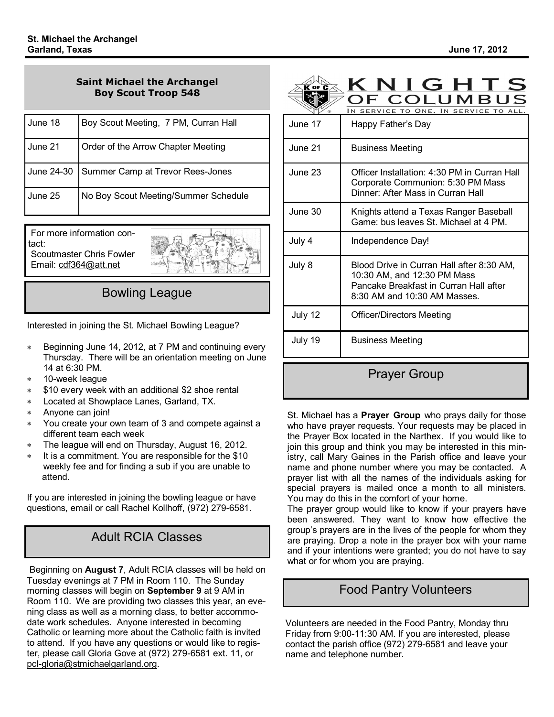OF COLUMBUS

#### **Saint Michael the Archangel Boy Scout Troop 548**

| June 18 | Boy Scout Meeting, 7 PM, Curran Hall        |
|---------|---------------------------------------------|
| June 21 | Order of the Arrow Chapter Meeting          |
|         | June 24-30 Summer Camp at Trevor Rees-Jones |
| June 25 | No Boy Scout Meeting/Summer Schedule        |

For more information contact: Scoutmaster Chris Fowler Email: cdf364@att.net



## Bowling League

Interested in joining the St. Michael Bowling League?

- Beginning June 14, 2012, at 7 PM and continuing every Thursday. There will be an orientation meeting on June 14 at 6:30 PM.
- 10-week league  $\star$
- \$10 every week with an additional \$2 shoe rental  $\ast$
- Located at Showplace Lanes, Garland, TX.  $\star$
- $\ast$ Anyone can join!
- You create your own team of 3 and compete against a different team each week
- The league will end on Thursday, August 16, 2012.
- It is a commitment. You are responsible for the \$10 weekly fee and for finding a sub if you are unable to attend.

If you are interested in joining the bowling league or have questions, email or call Rachel Kollhoff, (972) 279-6581.

## Adult RCIA Classes

Beginning on **August 7**, Adult RCIA classes will be held on Tuesday evenings at 7 PM in Room 110. The Sunday morning classes will begin on **September 9** at 9 AM in Room 110. We are providing two classes this year, an evening class as well as a morning class, to better accommodate work schedules. Anyone interested in becoming Catholic or learning more about the Catholic faith is invited to attend. If you have any questions or would like to register, please call Gloria Gove at (972) 279-6581 ext. 11, or pcl-gloria@stmichaelgarland.org.



## IN SERVICE TO ONE. IN SERVICE TO ALL. June 17 Happy Father's Day June 21 **Business Meeting**  June 23 Officer Installation: 4:30 PM in Curran Hall Corporate Communion: 5:30 PM Mass Dinner: After Mass in Curran Hall June 30 Knights attend a Texas Ranger Baseball Game: bus leaves St. Michael at 4 PM. July 4 Independence Day! July 8 Blood Drive in Curran Hall after 8:30 AM, 10:30 AM, and 12:30 PM Mass Pancake Breakfast in Curran Hall after 8:30 AM and 10:30 AM Masses. July 12 Officer/Directors Meeting July 19 | Business Meeting

Prayer Group

St. Michael has a **Prayer Group** who prays daily for those who have prayer requests. Your requests may be placed in the Prayer Box located in the Narthex. If you would like to join this group and think you may be interested in this ministry, call Mary Gaines in the Parish office and leave your name and phone number where you may be contacted. A prayer list with all the names of the individuals asking for special prayers is mailed once a month to all ministers. You may do this in the comfort of your home.

The prayer group would like to know if your prayers have been answered. They want to know how effective the group's prayers are in the lives of the people for whom they are praying. Drop a note in the prayer box with your name and if your intentions were granted; you do not have to say what or for whom you are praying.

## Food Pantry Volunteers

Volunteers are needed in the Food Pantry, Monday thru Friday from 9:00-11:30 AM. If you are interested, please contact the parish office (972) 279-6581 and leave your name and telephone number.